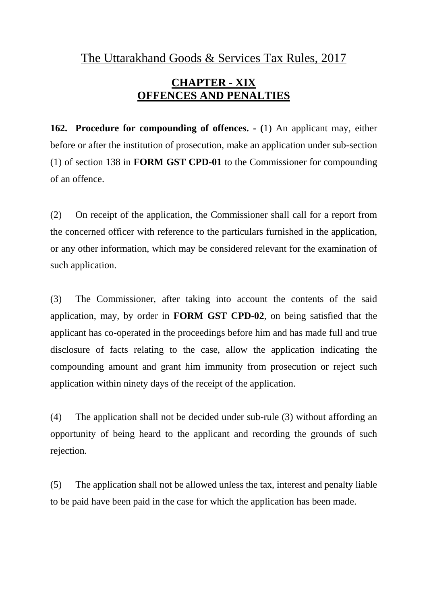The Uttarakhand Goods & Services Tax Rules, 2017

## **CHAPTER - XIX OFFENCES AND PENALTIES**

**162. Procedure for compounding of offences. - (**1) An applicant may, either before or after the institution of prosecution, make an application under sub-section (1) of section 138 in **FORM GST CPD-01** to the Commissioner for compounding of an offence.

(2) On receipt of the application, the Commissioner shall call for a report from the concerned officer with reference to the particulars furnished in the application, or any other information, which may be considered relevant for the examination of such application.

(3) The Commissioner, after taking into account the contents of the said application, may, by order in **FORM GST CPD-02**, on being satisfied that the applicant has co-operated in the proceedings before him and has made full and true disclosure of facts relating to the case, allow the application indicating the compounding amount and grant him immunity from prosecution or reject such application within ninety days of the receipt of the application.

(4) The application shall not be decided under sub-rule (3) without affording an opportunity of being heard to the applicant and recording the grounds of such rejection.

(5) The application shall not be allowed unless the tax, interest and penalty liable to be paid have been paid in the case for which the application has been made.